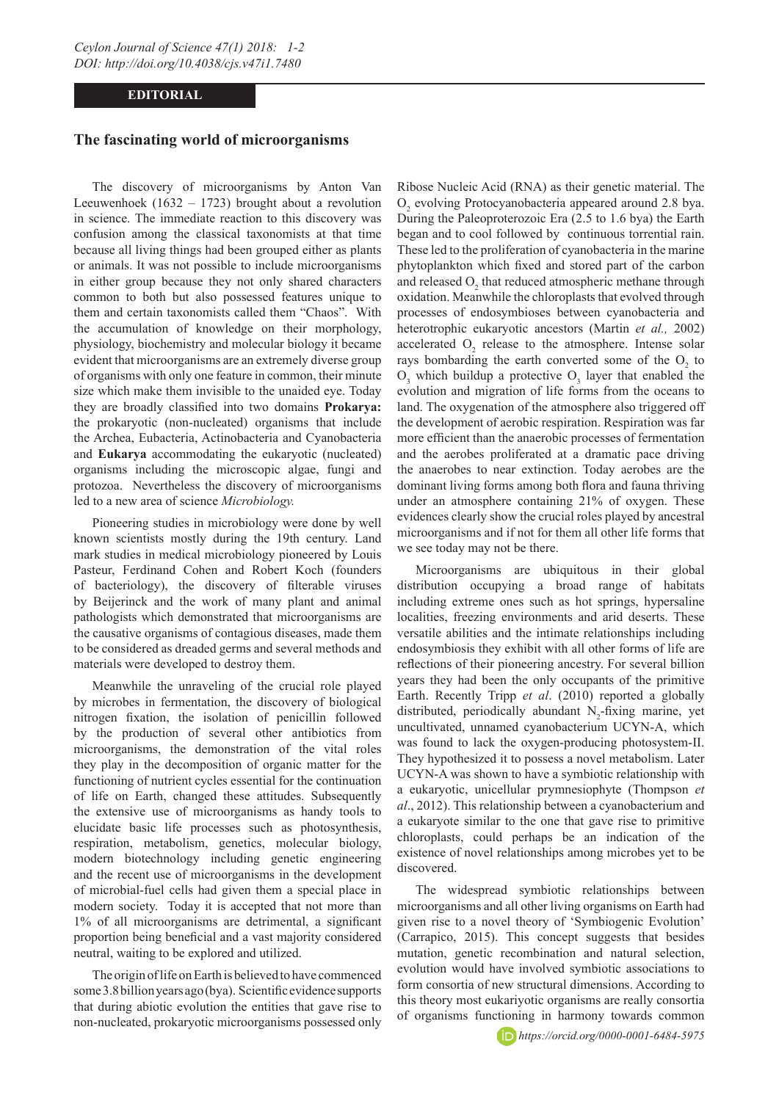## **EDITORIAL**

## **The fascinating world of microorganisms**

The discovery of microorganisms by Anton Van Leeuwenhoek (1632 – 1723) brought about a revolution in science. The immediate reaction to this discovery was confusion among the classical taxonomists at that time because all living things had been grouped either as plants or animals. It was not possible to include microorganisms in either group because they not only shared characters common to both but also possessed features unique to them and certain taxonomists called them "Chaos". With the accumulation of knowledge on their morphology, physiology, biochemistry and molecular biology it became evident that microorganisms are an extremely diverse group of organisms with only one feature in common, their minute size which make them invisible to the unaided eye. Today they are broadly classified into two domains **Prokarya:** the prokaryotic (non-nucleated) organisms that include the Archea, Eubacteria, Actinobacteria and Cyanobacteria and **Eukarya** accommodating the eukaryotic (nucleated) organisms including the microscopic algae, fungi and protozoa. Nevertheless the discovery of microorganisms led to a new area of science *Microbiology.*

Pioneering studies in microbiology were done by well known scientists mostly during the 19th century. Land mark studies in medical microbiology pioneered by Louis Pasteur, Ferdinand Cohen and Robert Koch (founders of bacteriology), the discovery of filterable viruses by Beijerinck and the work of many plant and animal pathologists which demonstrated that microorganisms are the causative organisms of contagious diseases, made them to be considered as dreaded germs and several methods and materials were developed to destroy them.

Meanwhile the unraveling of the crucial role played by microbes in fermentation, the discovery of biological nitrogen fixation, the isolation of penicillin followed by the production of several other antibiotics from microorganisms, the demonstration of the vital roles they play in the decomposition of organic matter for the functioning of nutrient cycles essential for the continuation of life on Earth, changed these attitudes. Subsequently the extensive use of microorganisms as handy tools to elucidate basic life processes such as photosynthesis, respiration, metabolism, genetics, molecular biology, modern biotechnology including genetic engineering and the recent use of microorganisms in the development of microbial-fuel cells had given them a special place in modern society. Today it is accepted that not more than 1% of all microorganisms are detrimental, a significant proportion being beneficial and a vast majority considered neutral, waiting to be explored and utilized.

The origin of life on Earth is believed to have commenced some 3.8 billion years ago (bya). Scientific evidence supports that during abiotic evolution the entities that gave rise to non-nucleated, prokaryotic microorganisms possessed only

Ribose Nucleic Acid (RNA) as their genetic material. The O2 evolving Protocyanobacteria appeared around 2.8 bya. During the Paleoproterozoic Era (2.5 to 1.6 bya) the Earth began and to cool followed by continuous torrential rain. These led to the proliferation of cyanobacteria in the marine phytoplankton which fixed and stored part of the carbon and released  $O_2$  that reduced atmospheric methane through oxidation. Meanwhile the chloroplasts that evolved through processes of endosymbioses between cyanobacteria and heterotrophic eukaryotic ancestors (Martin *et al.,* 2002) accelerated  $O_2$  release to the atmosphere. Intense solar rays bombarding the earth converted some of the  $O_2$  to  $O_3$  which buildup a protective  $O_3$  layer that enabled the evolution and migration of life forms from the oceans to land. The oxygenation of the atmosphere also triggered off the development of aerobic respiration. Respiration was far more efficient than the anaerobic processes of fermentation and the aerobes proliferated at a dramatic pace driving the anaerobes to near extinction. Today aerobes are the dominant living forms among both flora and fauna thriving under an atmosphere containing 21% of oxygen. These evidences clearly show the crucial roles played by ancestral microorganisms and if not for them all other life forms that we see today may not be there.

Microorganisms are ubiquitous in their global distribution occupying a broad range of habitats including extreme ones such as hot springs, hypersaline localities, freezing environments and arid deserts. These versatile abilities and the intimate relationships including endosymbiosis they exhibit with all other forms of life are reflections of their pioneering ancestry. For several billion years they had been the only occupants of the primitive Earth. Recently Tripp *et al*. (2010) reported a globally distributed, periodically abundant  $N_2$ -fixing marine, yet uncultivated, unnamed cyanobacterium UCYN-A, which was found to lack the oxygen-producing photosystem-II. They hypothesized it to possess a novel metabolism. Later UCYN-A was shown to have a symbiotic relationship with a eukaryotic, unicellular prymnesiophyte (Thompson *et al*., 2012). This relationship between a cyanobacterium and a eukaryote similar to the one that gave rise to primitive chloroplasts, could perhaps be an indication of the existence of novel relationships among microbes yet to be discovered.

The widespread symbiotic relationships between microorganisms and all other living organisms on Earth had given rise to a novel theory of 'Symbiogenic Evolution' (Carrapico, 2015). This concept suggests that besides mutation, genetic recombination and natural selection, evolution would have involved symbiotic associations to form consortia of new structural dimensions. According to this theory most eukariyotic organisms are really consortia of organisms functioning in harmony towards common

*https://orcid.org/0000-0001-6484-5975*